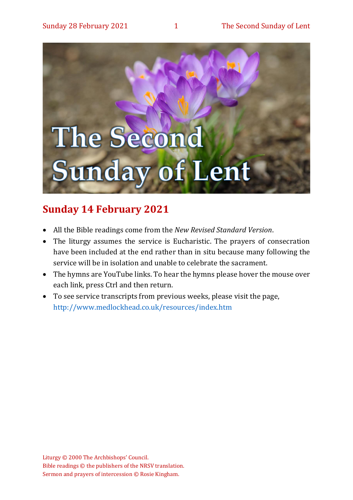

## **Sunday 14 February 2021**

- All the Bible readings come from the *New Revised Standard Version*.
- The liturgy assumes the service is Eucharistic. The prayers of consecration have been included at the end rather than in situ because many following the service will be in isolation and unable to celebrate the sacrament.
- The hymns are YouTube links. To hear the hymns please hover the mouse over each link, press Ctrl and then return.
- To see service transcripts from previous weeks, please visit the page, <http://www.medlockhead.co.uk/resources/index.htm>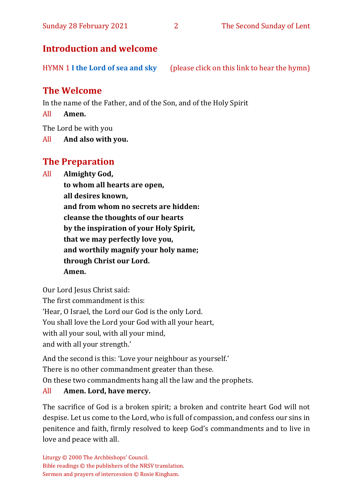#### Sunday 28 February 2021 2 The Second Sunday of Lent

## **Introduction and welcome**

HYMN 1 **[I the Lord of sea and sky](https://www.youtube.com/watch?v=cGNYDcqdl8g)** (please click on this link to hear the hymn)

## **The Welcome**

In the name of the Father, and of the Son, and of the Holy Spirit

All **Amen.**

The Lord be with you

All **And also with you.**

## **The Preparation**

All **Almighty God,**

**to whom all hearts are open, all desires known, and from whom no secrets are hidden: cleanse the thoughts of our hearts by the inspiration of your Holy Spirit, that we may perfectly love you, and worthily magnify your holy name; through Christ our Lord. Amen.**

Our Lord Jesus Christ said:

The first commandment is this:

'Hear, O Israel, the Lord our God is the only Lord.

You shall love the Lord your God with all your heart,

with all your soul, with all your mind,

and with all your strength.'

And the second is this: 'Love your neighbour as yourself.'

There is no other commandment greater than these.

On these two commandments hang all the law and the prophets.

#### All **Amen. Lord, have mercy.**

The sacrifice of God is a broken spirit; a broken and contrite heart God will not despise. Let us come to the Lord, who is full of compassion, and confess our sins in penitence and faith, firmly resolved to keep God's commandments and to live in love and peace with all.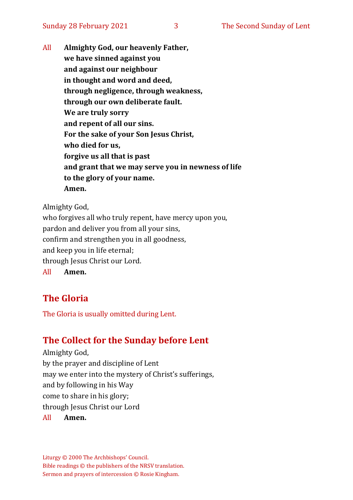All **Almighty God, our heavenly Father, we have sinned against you and against our neighbour in thought and word and deed, through negligence, through weakness, through our own deliberate fault. We are truly sorry and repent of all our sins. For the sake of your Son Jesus Christ, who died for us, forgive us all that is past and grant that we may serve you in newness of life to the glory of your name. Amen.**

Almighty God, who forgives all who truly repent, have mercy upon you, pardon and deliver you from all your sins, confirm and strengthen you in all goodness, and keep you in life eternal; through Jesus Christ our Lord. All **Amen.**

## **The Gloria**

The Gloria is usually omitted during Lent.

## **The Collect for the Sunday before Lent**

Almighty God, by the prayer and discipline of Lent may we enter into the mystery of Christ's sufferings, and by following in his Way come to share in his glory; through Jesus Christ our Lord All **Amen.**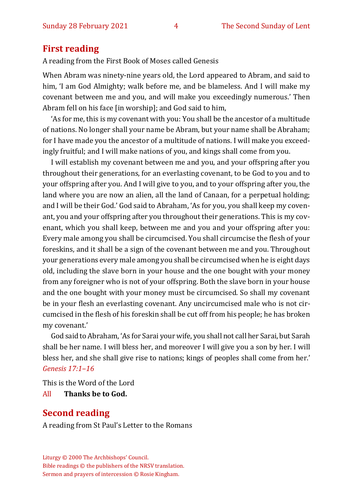## **First reading**

A reading from the First Book of Moses called Genesis

When Abram was ninety-nine years old, the Lord appeared to Abram, and said to him, 'I am God Almighty; walk before me, and be blameless. And I will make my covenant between me and you, and will make you exceedingly numerous.' Then Abram fell on his face [in worship]; and God said to him,

'As for me, this is my covenant with you: You shall be the ancestor of a multitude of nations. No longer shall your name be Abram, but your name shall be Abraham; for I have made you the ancestor of a multitude of nations. I will make you exceedingly fruitful; and I will make nations of you, and kings shall come from you.

I will establish my covenant between me and you, and your offspring after you throughout their generations, for an everlasting covenant, to be God to you and to your offspring after you. And I will give to you, and to your offspring after you, the land where you are now an alien, all the land of Canaan, for a perpetual holding; and I will be their God.' God said to Abraham, 'As for you, you shall keep my covenant, you and your offspring after you throughout their generations. This is my covenant, which you shall keep, between me and you and your offspring after you: Every male among you shall be circumcised. You shall circumcise the flesh of your foreskins, and it shall be a sign of the covenant between me and you. Throughout your generations every male among you shall be circumcised when he is eight days old, including the slave born in your house and the one bought with your money from any foreigner who is not of your offspring. Both the slave born in your house and the one bought with your money must be circumcised. So shall my covenant be in your flesh an everlasting covenant. Any uncircumcised male who is not circumcised in the flesh of his foreskin shall be cut off from his people; he has broken my covenant.'

God said to Abraham, 'As for Sarai your wife, you shall not call her Sarai, but Sarah shall be her name. I will bless her, and moreover I will give you a son by her. I will bless her, and she shall give rise to nations; kings of peoples shall come from her.' *Genesis 17:1–16*

This is the Word of the Lord

All **Thanks be to God.**

## **Second reading**

A reading from St Paul's Letter to the Romans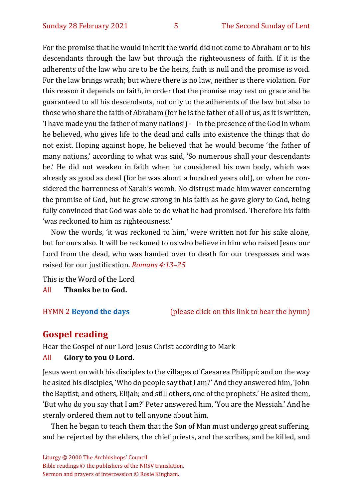For the promise that he would inherit the world did not come to Abraham or to his descendants through the law but through the righteousness of faith. If it is the adherents of the law who are to be the heirs, faith is null and the promise is void. For the law brings wrath; but where there is no law, neither is there violation. For this reason it depends on faith, in order that the promise may rest on grace and be guaranteed to all his descendants, not only to the adherents of the law but also to those who share the faith of Abraham (for he is the father of all of us, as it is written, 'I have made you the father of many nations') —in the presence of the God in whom he believed, who gives life to the dead and calls into existence the things that do not exist. Hoping against hope, he believed that he would become 'the father of many nations,' according to what was said, 'So numerous shall your descendants be.' He did not weaken in faith when he considered his own body, which was already as good as dead (for he was about a hundred years old), or when he considered the barrenness of Sarah's womb. No distrust made him waver concerning the promise of God, but he grew strong in his faith as he gave glory to God, being fully convinced that God was able to do what he had promised. Therefore his faith 'was reckoned to him as righteousness.'

Now the words, 'it was reckoned to him,' were written not for his sake alone, but for ours also. It will be reckoned to us who believe in him who raised Jesus our Lord from the dead, who was handed over to death for our trespasses and was raised for our justification. *Romans 4:13–25*

This is the Word of the Lord All **Thanks be to God.**

HYMN 2 **[Beyond the days](https://www.youtube.com/watch?v=kp3DWyqEN28)** (please click on this link to hear the hymn)

## **Gospel reading**

Hear the Gospel of our Lord Jesus Christ according to Mark

#### All **Glory to you O Lord.**

Jesus went on with his disciples to the villages of Caesarea Philippi; and on the way he asked his disciples, 'Who do people say that I am?' And they answered him, 'John the Baptist; and others, Elijah; and still others, one of the prophets.' He asked them, 'But who do you say that I am?' Peter answered him, 'You are the Messiah.' And he sternly ordered them not to tell anyone about him.

Then he began to teach them that the Son of Man must undergo great suffering, and be rejected by the elders, the chief priests, and the scribes, and be killed, and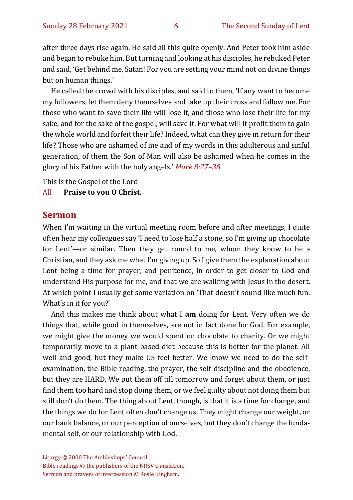after three days rise again. He said all this quite openly. And Peter took him aside and began to rebuke him. But turning and looking at his disciples, he rebuked Peter and said, 'Get behind me, Satan! For you are setting your mind not on divine things but on human things.'

He called the crowd with his disciples, and said to them, 'If any want to become my followers, let them deny themselves and take up their cross and follow me. For those who want to save their life will lose it, and those who lose their life for my sake, and for the sake of the gospel, will save it. For what will it profit them to gain the whole world and forfeit their life? Indeed, what can they give in return for their life? Those who are ashamed of me and of my words in this adulterous and sinful generation, of them the Son of Man will also be ashamed when he comes in the glory of his Father with the holy angels.' *Mark 8:27–38*

This is the Gospel of the Lord

#### All **Praise to you O Christ.**

#### **Sermon**

When I'm waiting in the virtual meeting room before and after meetings, I quite often hear my colleagues say 'I need to lose half a stone, so I'm giving up chocolate for Lent'—or similar. Then they get round to me, whom they know to be a Christian, and they ask me what I'm giving up. So I give them the explanation about Lent being a time for prayer, and penitence, in order to get closer to God and understand His purpose for me, and that we are walking with Jesus in the desert. At which point I usually get some variation on 'That doesn't sound like much fun. What's in it for you?'

And this makes me think about what I **am** doing for Lent. Very often we do things that, while good in themselves, are not in fact done for God. For example, we might give the money we would spent on chocolate to charity. Or we might temporarily move to a plant-based diet because this is better for the planet. All well and good, but they make US feel better. We know we need to do the selfexamination, the Bible reading, the prayer, the self-discipline and the obedience, but they are HARD. We put them off till tomorrow and forget about them, or just find them too hard and stop doing them, or we feel guilty about not doing them but still don't do them. The thing about Lent, though, is that it is a time for change, and the things we do for Lent often don't change us. They might change our weight, or our bank balance, or our perception of ourselves, but they don't change the fundamental self, or our relationship with God.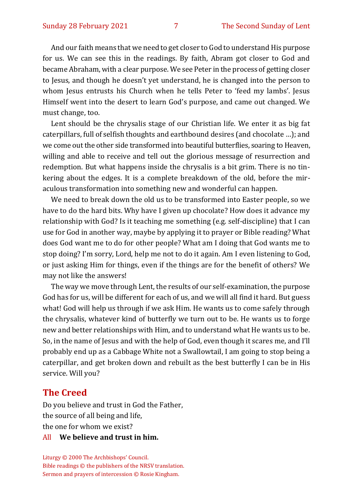And our faith means that we need to get closer to God to understand His purpose for us. We can see this in the readings. By faith, Abram got closer to God and became Abraham, with a clear purpose. We see Peter in the process of getting closer to Jesus, and though he doesn't yet understand, he is changed into the person to whom Jesus entrusts his Church when he tells Peter to 'feed my lambs'. Jesus Himself went into the desert to learn God's purpose, and came out changed. We must change, too.

Lent should be the chrysalis stage of our Christian life. We enter it as big fat caterpillars, full of selfish thoughts and earthbound desires (and chocolate …); and we come out the other side transformed into beautiful butterflies, soaring to Heaven, willing and able to receive and tell out the glorious message of resurrection and redemption. But what happens inside the chrysalis is a bit grim. There is no tinkering about the edges. It is a complete breakdown of the old, before the miraculous transformation into something new and wonderful can happen.

We need to break down the old us to be transformed into Easter people, so we have to do the hard bits. Why have I given up chocolate? How does it advance my relationship with God? Is it teaching me something (e.g. self-discipline) that I can use for God in another way, maybe by applying it to prayer or Bible reading? What does God want me to do for other people? What am I doing that God wants me to stop doing? I'm sorry, Lord, help me not to do it again. Am I even listening to God, or just asking Him for things, even if the things are for the benefit of others? We may not like the answers!

The way we move through Lent, the results of our self-examination, the purpose God has for us, will be different for each of us, and we will all find it hard. But guess what! God will help us through if we ask Him. He wants us to come safely through the chrysalis, whatever kind of butterfly we turn out to be. He wants us to forge new and better relationships with Him, and to understand what He wants us to be. So, in the name of Jesus and with the help of God, even though it scares me, and I'll probably end up as a Cabbage White not a Swallowtail, I am going to stop being a caterpillar, and get broken down and rebuilt as the best butterfly I can be in His service. Will you?

#### **The Creed**

Do you believe and trust in God the Father, the source of all being and life, the one for whom we exist? All **We believe and trust in him.**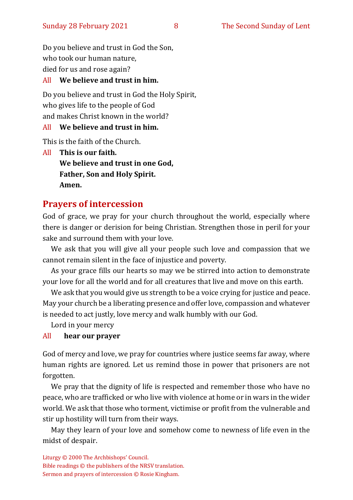Do you believe and trust in God the Son, who took our human nature, died for us and rose again?

#### All **We believe and trust in him.**

Do you believe and trust in God the Holy Spirit, who gives life to the people of God and makes Christ known in the world?

#### All **We believe and trust in him.**

This is the faith of the Church.

All **This is our faith. We believe and trust in one God, Father, Son and Holy Spirit. Amen.**

## **Prayers of intercession**

God of grace, we pray for your church throughout the world, especially where there is danger or derision for being Christian. Strengthen those in peril for your sake and surround them with your love.

We ask that you will give all your people such love and compassion that we cannot remain silent in the face of injustice and poverty.

As your grace fills our hearts so may we be stirred into action to demonstrate your love for all the world and for all creatures that live and move on this earth.

We ask that you would give us strength to be a voice crying for justice and peace. May your church be a liberating presence and offer love, compassion and whatever is needed to act justly, love mercy and walk humbly with our God.

Lord in your mercy

#### All **hear our prayer**

God of mercy and love, we pray for countries where justice seems far away, where human rights are ignored. Let us remind those in power that prisoners are not forgotten.

We pray that the dignity of life is respected and remember those who have no peace, who are trafficked or who live with violence at home or in wars in the wider world. We ask that those who torment, victimise or profit from the vulnerable and stir up hostility will turn from their ways.

May they learn of your love and somehow come to newness of life even in the midst of despair.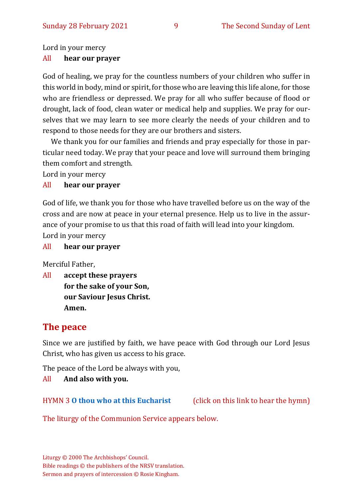Lord in your mercy

#### All **hear our prayer**

God of healing, we pray for the countless numbers of your children who suffer in this world in body, mind or spirit, for those who are leaving this life alone, for those who are friendless or depressed. We pray for all who suffer because of flood or drought, lack of food, clean water or medical help and supplies. We pray for ourselves that we may learn to see more clearly the needs of your children and to respond to those needs for they are our brothers and sisters.

We thank you for our families and friends and pray especially for those in particular need today. We pray that your peace and love will surround them bringing them comfort and strength.

Lord in your mercy

#### All **hear our prayer**

God of life, we thank you for those who have travelled before us on the way of the cross and are now at peace in your eternal presence. Help us to live in the assurance of your promise to us that this road of faith will lead into your kingdom. Lord in your mercy

#### All **hear our prayer**

Merciful Father,

All **accept these prayers for the sake of your Son, our Saviour Jesus Christ. Amen.**

## **The peace**

Since we are justified by faith, we have peace with God through our Lord Jesus Christ, who has given us access to his grace.

The peace of the Lord be always with you,

#### All **And also with you.**

HYMN 3 **O [thou who at this Eucharist](https://www.youtube.com/watch?v=u4FERL8Xeno)** (click on this link to hear the hymn)

The liturgy of the Communion Service appears below.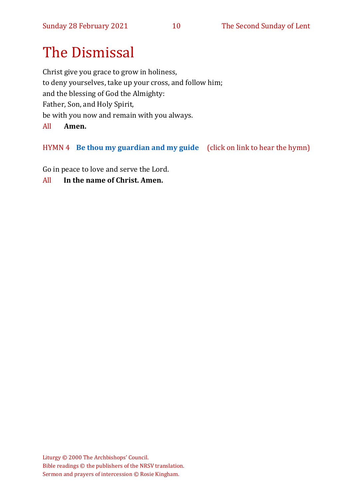# The Dismissal

Christ give you grace to grow in holiness, to deny yourselves, take up your cross, and follow him; and the blessing of God the Almighty: Father, Son, and Holy Spirit, be with you now and remain with you always. All **Amen.**

## HYMN 4 **[Be thou my guardian and my guide](https://www.youtube.com/watch?v=SFpaP-BGG4A)** (click on link to hear the hymn)

Go in peace to love and serve the Lord.

All **In the name of Christ. Amen.**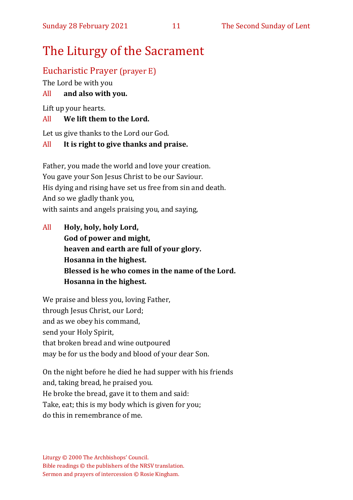## The Liturgy of the Sacrament

## Eucharistic Prayer (prayer E)

The Lord be with you

## All **and also with you.**

Lift up your hearts.

## All **We lift them to the Lord.**

Let us give thanks to the Lord our God.

### All **It is right to give thanks and praise.**

Father, you made the world and love your creation. You gave your Son Jesus Christ to be our Saviour. His dying and rising have set us free from sin and death. And so we gladly thank you, with saints and angels praising you, and saying,

All **Holy, holy, holy Lord, God of power and might, heaven and earth are full of your glory. Hosanna in the highest. Blessed is he who comes in the name of the Lord. Hosanna in the highest.**

We praise and bless you, loving Father, through Jesus Christ, our Lord; and as we obey his command, send your Holy Spirit, that broken bread and wine outpoured may be for us the body and blood of your dear Son.

On the night before he died he had supper with his friends and, taking bread, he praised you. He broke the bread, gave it to them and said: Take, eat; this is my body which is given for you; do this in remembrance of me.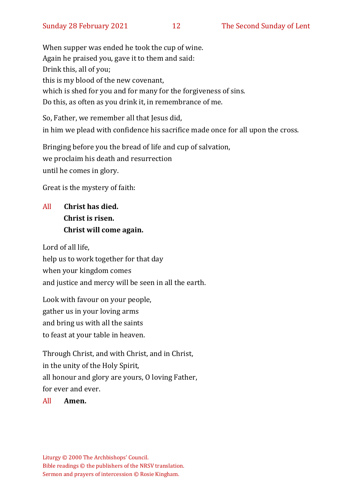When supper was ended he took the cup of wine. Again he praised you, gave it to them and said: Drink this, all of you; this is my blood of the new covenant, which is shed for you and for many for the forgiveness of sins. Do this, as often as you drink it, in remembrance of me.

So, Father, we remember all that Jesus did, in him we plead with confidence his sacrifice made once for all upon the cross.

Bringing before you the bread of life and cup of salvation, we proclaim his death and resurrection until he comes in glory.

Great is the mystery of faith:

## All **Christ has died. Christ is risen. Christ will come again.**

Lord of all life, help us to work together for that day when your kingdom comes and justice and mercy will be seen in all the earth.

Look with favour on your people, gather us in your loving arms and bring us with all the saints to feast at your table in heaven.

Through Christ, and with Christ, and in Christ, in the unity of the Holy Spirit, all honour and glory are yours, O loving Father, for ever and ever.

All **Amen.**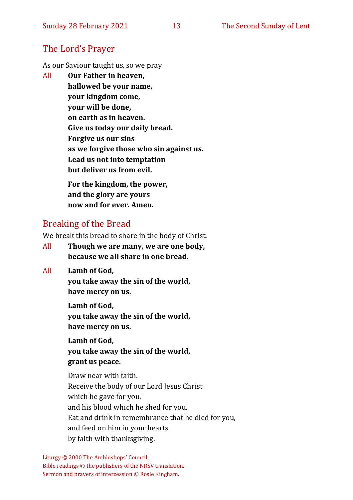## The Lord's Prayer

As our Saviour taught us, so we pray

All **Our Father in heaven, hallowed be your name, your kingdom come, your will be done, on earth as in heaven. Give us today our daily bread. Forgive us our sins as we forgive those who sin against us. Lead us not into temptation but deliver us from evil. For the kingdom, the power,** 

**and the glory are yours now and for ever. Amen.**

## Breaking of the Bread

We break this bread to share in the body of Christ.

- All **Though we are many, we are one body, because we all share in one bread.**
- All **Lamb of God,**

**you take away the sin of the world, have mercy on us.**

**Lamb of God, you take away the sin of the world, have mercy on us.**

**Lamb of God, you take away the sin of the world, grant us peace.**

Draw near with faith. Receive the body of our Lord Jesus Christ which he gave for you, and his blood which he shed for you. Eat and drink in remembrance that he died for you, and feed on him in your hearts by faith with thanksgiving.